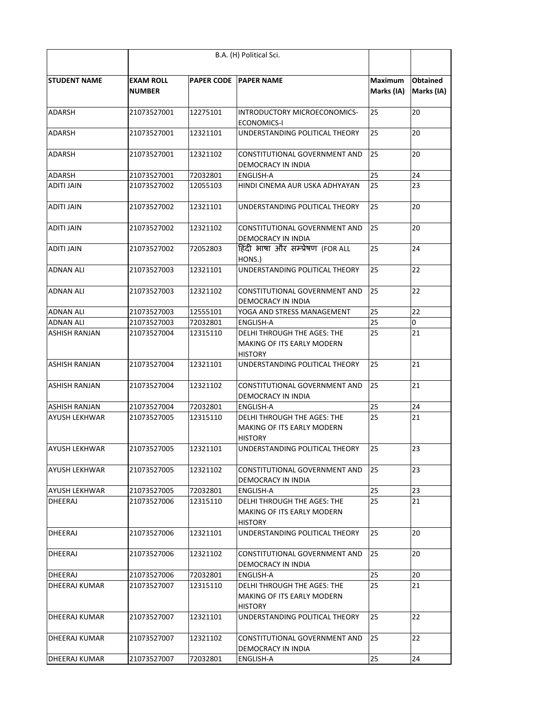| <b>STUDENT NAME</b>  | <b>EXAM ROLL</b><br><b>NUMBER</b> |          | <b>PAPER CODE PAPER NAME</b>                                                       | <b>Maximum</b><br>Marks (IA) | <b>Obtained</b><br>Marks (IA) |
|----------------------|-----------------------------------|----------|------------------------------------------------------------------------------------|------------------------------|-------------------------------|
| <b>ADARSH</b>        | 21073527001                       | 12275101 | INTRODUCTORY MICROECONOMICS-<br><b>ECONOMICS-I</b>                                 | 25                           | 20                            |
| <b>ADARSH</b>        | 21073527001                       | 12321101 | UNDERSTANDING POLITICAL THEORY                                                     | 25                           | 20                            |
| <b>ADARSH</b>        | 21073527001                       | 12321102 | CONSTITUTIONAL GOVERNMENT AND<br>DEMOCRACY IN INDIA                                | 25                           | 20                            |
| <b>ADARSH</b>        | 21073527001                       | 72032801 | <b>ENGLISH-A</b>                                                                   | 25                           | 24                            |
| <b>ADITI JAIN</b>    | 21073527002                       | 12055103 | HINDI CINEMA AUR USKA ADHYAYAN                                                     | 25                           | 23                            |
| <b>ADITI JAIN</b>    | 21073527002                       | 12321101 | UNDERSTANDING POLITICAL THEORY                                                     | 25                           | 20                            |
| <b>ADITI JAIN</b>    | 21073527002                       | 12321102 | CONSTITUTIONAL GOVERNMENT AND<br>DEMOCRACY IN INDIA                                | 25                           | 20                            |
| <b>ADITI JAIN</b>    | 21073527002                       | 72052803 | हिंदी भाषा और सम्प्रेषण (FOR ALL<br>HONS.)                                         | 25                           | 24                            |
| <b>ADNAN ALI</b>     | 21073527003                       | 12321101 | UNDERSTANDING POLITICAL THEORY                                                     | 25                           | 22                            |
| <b>ADNAN ALI</b>     | 21073527003                       | 12321102 | CONSTITUTIONAL GOVERNMENT AND<br>DEMOCRACY IN INDIA                                | 25                           | 22                            |
| <b>ADNAN ALI</b>     | 21073527003                       | 12555101 | YOGA AND STRESS MANAGEMENT                                                         | 25                           | 22                            |
| <b>ADNAN ALI</b>     | 21073527003                       | 72032801 | <b>ENGLISH-A</b>                                                                   | 25                           | 0                             |
| <b>ASHISH RANJAN</b> | 21073527004                       | 12315110 | <b>DELHI THROUGH THE AGES: THE</b><br>MAKING OF ITS EARLY MODERN<br><b>HISTORY</b> | 25                           | 21                            |
| ASHISH RANJAN        | 21073527004                       | 12321101 | UNDERSTANDING POLITICAL THEORY                                                     | 25                           | 21                            |
| ASHISH RANJAN        | 21073527004                       | 12321102 | CONSTITUTIONAL GOVERNMENT AND<br>DEMOCRACY IN INDIA                                | 25                           | 21                            |
| IASHISH RANJAN       | 21073527004                       | 72032801 | <b>ENGLISH-A</b>                                                                   | 25                           | 24                            |
| <b>AYUSH LEKHWAR</b> | 21073527005                       | 12315110 | <b>DELHI THROUGH THE AGES: THE</b><br>MAKING OF ITS EARLY MODERN<br><b>HISTORY</b> | 25                           | 21                            |
| <b>AYUSH LEKHWAR</b> | 21073527005                       | 12321101 | UNDERSTANDING POLITICAL THEORY                                                     | 25                           | 23                            |
| <b>AYUSH LEKHWAR</b> | 21073527005                       | 12321102 | CONSTITUTIONAL GOVERNMENT AND<br>DEMOCRACY IN INDIA                                | 25                           | 23                            |
| <b>AYUSH LEKHWAR</b> | 21073527005                       | 72032801 | ENGLISH-A                                                                          | 25                           | 23                            |
| DHEERAJ              | 21073527006                       | 12315110 | DELHI THROUGH THE AGES: THE<br>MAKING OF ITS EARLY MODERN<br><b>HISTORY</b>        | 25                           | 21                            |
| <b>DHEERAJ</b>       | 21073527006                       | 12321101 | UNDERSTANDING POLITICAL THEORY                                                     | 25                           | 20                            |
| DHEERAJ              | 21073527006                       | 12321102 | CONSTITUTIONAL GOVERNMENT AND<br>DEMOCRACY IN INDIA                                | 25                           | 20                            |
| DHEERAJ              | 21073527006                       | 72032801 | <b>ENGLISH-A</b>                                                                   | 25                           | 20                            |
| <b>DHEERAJ KUMAR</b> | 21073527007                       | 12315110 | DELHI THROUGH THE AGES: THE<br>MAKING OF ITS EARLY MODERN<br><b>HISTORY</b>        | 25                           | 21                            |
| <b>DHEERAJ KUMAR</b> | 21073527007                       | 12321101 | UNDERSTANDING POLITICAL THEORY                                                     | 25                           | 22                            |
| <b>DHEERAJ KUMAR</b> | 21073527007                       | 12321102 | CONSTITUTIONAL GOVERNMENT AND<br>DEMOCRACY IN INDIA                                | 25                           | 22                            |
| <b>DHEERAJ KUMAR</b> | 21073527007                       | 72032801 | ENGLISH-A                                                                          | 25                           | 24                            |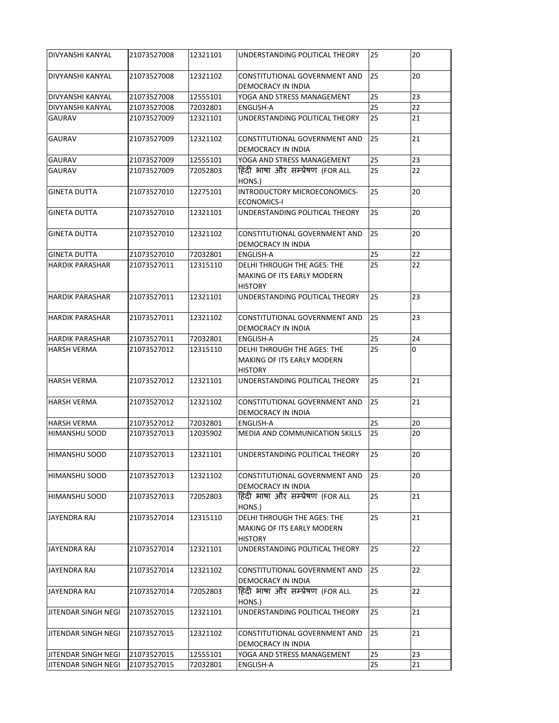| DIVYANSHI KANYAL           | 21073527008 | 12321101 | UNDERSTANDING POLITICAL THEORY                                                            | 25 | 20 |
|----------------------------|-------------|----------|-------------------------------------------------------------------------------------------|----|----|
| <b>DIVYANSHI KANYAL</b>    | 21073527008 | 12321102 | CONSTITUTIONAL GOVERNMENT AND<br><b>DEMOCRACY IN INDIA</b>                                | 25 | 20 |
| DIVYANSHI KANYAL           | 21073527008 | 12555101 | YOGA AND STRESS MANAGEMENT                                                                | 25 | 23 |
| DIVYANSHI KANYAL           | 21073527008 | 72032801 | ENGLISH-A                                                                                 | 25 | 22 |
| <b>GAURAV</b>              | 21073527009 | 12321101 | UNDERSTANDING POLITICAL THEORY                                                            | 25 | 21 |
| <b>GAURAV</b>              | 21073527009 | 12321102 | CONSTITUTIONAL GOVERNMENT AND<br>DEMOCRACY IN INDIA                                       | 25 | 21 |
| <b>GAURAV</b>              | 21073527009 | 12555101 | YOGA AND STRESS MANAGEMENT                                                                | 25 | 23 |
| <b>GAURAV</b>              | 21073527009 | 72052803 | हिंदी भाषा और सम्प्रेषण (FOR ALL<br>HONS.)                                                | 25 | 22 |
| <b>GINETA DUTTA</b>        | 21073527010 | 12275101 | INTRODUCTORY MICROECONOMICS-<br><b>ECONOMICS-I</b>                                        | 25 | 20 |
| <b>GINETA DUTTA</b>        | 21073527010 | 12321101 | UNDERSTANDING POLITICAL THEORY                                                            | 25 | 20 |
| <b>GINETA DUTTA</b>        | 21073527010 | 12321102 | CONSTITUTIONAL GOVERNMENT AND<br>DEMOCRACY IN INDIA                                       | 25 | 20 |
| <b>GINETA DUTTA</b>        | 21073527010 | 72032801 | <b>ENGLISH-A</b>                                                                          | 25 | 22 |
| <b>HARDIK PARASHAR</b>     | 21073527011 | 12315110 | <b>DELHI THROUGH THE AGES: THE</b><br><b>MAKING OF ITS EARLY MODERN</b><br><b>HISTORY</b> | 25 | 22 |
| <b>HARDIK PARASHAR</b>     | 21073527011 | 12321101 | UNDERSTANDING POLITICAL THEORY                                                            | 25 | 23 |
| <b>HARDIK PARASHAR</b>     | 21073527011 | 12321102 | CONSTITUTIONAL GOVERNMENT AND<br>DEMOCRACY IN INDIA                                       | 25 | 23 |
| <b>HARDIK PARASHAR</b>     | 21073527011 | 72032801 | <b>ENGLISH-A</b>                                                                          | 25 | 24 |
| <b>HARSH VERMA</b>         | 21073527012 | 12315110 | DELHI THROUGH THE AGES: THE<br><b>MAKING OF ITS EARLY MODERN</b><br><b>HISTORY</b>        | 25 | 0  |
| <b>HARSH VERMA</b>         | 21073527012 | 12321101 | UNDERSTANDING POLITICAL THEORY                                                            | 25 | 21 |
| <b>HARSH VERMA</b>         | 21073527012 | 12321102 | CONSTITUTIONAL GOVERNMENT AND<br>DEMOCRACY IN INDIA                                       | 25 | 21 |
| <b>HARSH VERMA</b>         | 21073527012 | 72032801 | <b>ENGLISH-A</b>                                                                          | 25 | 20 |
| HIMANSHU SOOD              | 21073527013 | 12035902 | MEDIA AND COMMUNICATION SKILLS                                                            | 25 | 20 |
| HIMANSHU SOOD              | 21073527013 | 12321101 | UNDERSTANDING POLITICAL THEORY                                                            | 25 | 20 |
| <b>HIMANSHU SOOD</b>       | 21073527013 | 12321102 | CONSTITUTIONAL GOVERNMENT AND<br><b>DEMOCRACY IN INDIA</b>                                | 25 | 20 |
| HIMANSHU SOOD              | 21073527013 | 72052803 | हिंदी भाषा और सम्प्रेषण (FOR ALL<br>HONS.)                                                | 25 | 21 |
| JAYENDRA RAJ               | 21073527014 | 12315110 | <b>DELHI THROUGH THE AGES: THE</b><br>MAKING OF ITS EARLY MODERN<br><b>HISTORY</b>        | 25 | 21 |
| JAYENDRA RAJ               | 21073527014 | 12321101 | UNDERSTANDING POLITICAL THEORY                                                            | 25 | 22 |
| <b>JAYENDRA RAJ</b>        | 21073527014 | 12321102 | CONSTITUTIONAL GOVERNMENT AND<br>DEMOCRACY IN INDIA                                       | 25 | 22 |
| <b>JAYENDRA RAJ</b>        | 21073527014 | 72052803 | हिंदी भाषा और सम्प्रेषण (FOR ALL<br>HONS.)                                                | 25 | 22 |
| JITENDAR SINGH NEGI        | 21073527015 | 12321101 | UNDERSTANDING POLITICAL THEORY                                                            | 25 | 21 |
| JITENDAR SINGH NEGI        | 21073527015 | 12321102 | CONSTITUTIONAL GOVERNMENT AND<br>DEMOCRACY IN INDIA                                       | 25 | 21 |
| <b>JITENDAR SINGH NEGI</b> | 21073527015 | 12555101 | YOGA AND STRESS MANAGEMENT                                                                | 25 | 23 |
| JITENDAR SINGH NEGI        | 21073527015 | 72032801 | ENGLISH-A                                                                                 | 25 | 21 |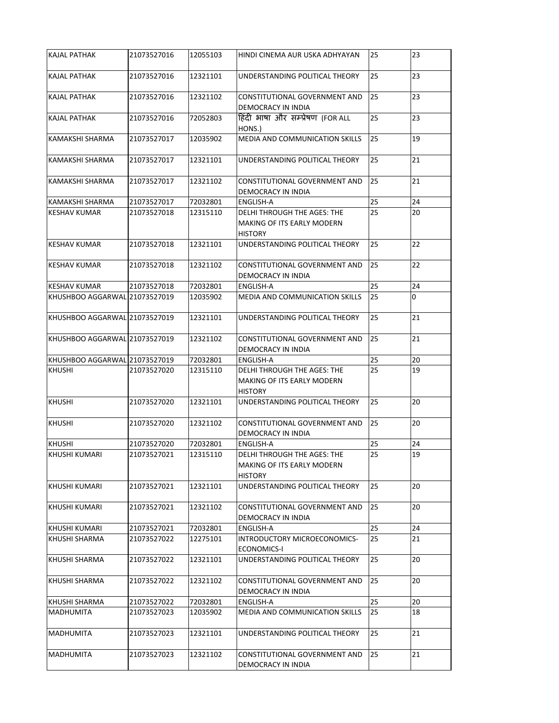| <b>KAJAL PATHAK</b>           | 21073527016 | 12055103 | HINDI CINEMA AUR USKA ADHYAYAN                                                            | 25 | 23 |
|-------------------------------|-------------|----------|-------------------------------------------------------------------------------------------|----|----|
| <b>KAJAL PATHAK</b>           | 21073527016 | 12321101 | UNDERSTANDING POLITICAL THEORY                                                            | 25 | 23 |
| <b>KAJAL PATHAK</b>           | 21073527016 | 12321102 | <b>CONSTITUTIONAL GOVERNMENT AND</b><br>DEMOCRACY IN INDIA                                | 25 | 23 |
| <b>KAJAL PATHAK</b>           | 21073527016 | 72052803 | हिंदी भाषा और सम्प्रेषण (FOR ALL<br>HONS.)                                                | 25 | 23 |
| KAMAKSHI SHARMA               | 21073527017 | 12035902 | MEDIA AND COMMUNICATION SKILLS                                                            | 25 | 19 |
| KAMAKSHI SHARMA               | 21073527017 | 12321101 | UNDERSTANDING POLITICAL THEORY                                                            | 25 | 21 |
| KAMAKSHI SHARMA               | 21073527017 | 12321102 | CONSTITUTIONAL GOVERNMENT AND<br>DEMOCRACY IN INDIA                                       | 25 | 21 |
| KAMAKSHI SHARMA               | 21073527017 | 72032801 | <b>ENGLISH-A</b>                                                                          | 25 | 24 |
| <b>KESHAV KUMAR</b>           | 21073527018 | 12315110 | <b>DELHI THROUGH THE AGES: THE</b><br>MAKING OF ITS EARLY MODERN<br><b>HISTORY</b>        | 25 | 20 |
| <b>KESHAV KUMAR</b>           | 21073527018 | 12321101 | UNDERSTANDING POLITICAL THEORY                                                            | 25 | 22 |
| <b>KESHAV KUMAR</b>           | 21073527018 | 12321102 | CONSTITUTIONAL GOVERNMENT AND<br>DEMOCRACY IN INDIA                                       | 25 | 22 |
| <b>KESHAV KUMAR</b>           | 21073527018 | 72032801 | <b>ENGLISH-A</b>                                                                          | 25 | 24 |
| KHUSHBOO AGGARWAL 21073527019 |             | 12035902 | <b>MEDIA AND COMMUNICATION SKILLS</b>                                                     | 25 | 0  |
| KHUSHBOO AGGARWAL 21073527019 |             | 12321101 | UNDERSTANDING POLITICAL THEORY                                                            | 25 | 21 |
| KHUSHBOO AGGARWAL 21073527019 |             | 12321102 | CONSTITUTIONAL GOVERNMENT AND<br>DEMOCRACY IN INDIA                                       | 25 | 21 |
| KHUSHBOO AGGARWAL 21073527019 |             | 72032801 | <b>ENGLISH-A</b>                                                                          | 25 | 20 |
| <b>KHUSHI</b>                 | 21073527020 | 12315110 | DELHI THROUGH THE AGES: THE<br><b>MAKING OF ITS EARLY MODERN</b><br><b>HISTORY</b>        | 25 | 19 |
| <b>KHUSHI</b>                 | 21073527020 | 12321101 | UNDERSTANDING POLITICAL THEORY                                                            | 25 | 20 |
| <b>KHUSHI</b>                 | 21073527020 | 12321102 | CONSTITUTIONAL GOVERNMENT AND<br>DEMOCRACY IN INDIA                                       | 25 | 20 |
| <b>KHUSHI</b>                 | 21073527020 | 72032801 | <b>ENGLISH-A</b>                                                                          | 25 | 24 |
| KHUSHI KUMARI                 | 21073527021 | 12315110 | <b>DELHI THROUGH THE AGES: THE</b><br><b>MAKING OF ITS EARLY MODERN</b><br><b>HISTORY</b> | 25 | 19 |
| <b>KHUSHI KUMARI</b>          | 21073527021 | 12321101 | UNDERSTANDING POLITICAL THEORY                                                            | 25 | 20 |
| <b>KHUSHI KUMARI</b>          | 21073527021 | 12321102 | CONSTITUTIONAL GOVERNMENT AND<br>DEMOCRACY IN INDIA                                       | 25 | 20 |
| <b>KHUSHI KUMARI</b>          | 21073527021 | 72032801 | <b>ENGLISH-A</b>                                                                          | 25 | 24 |
| KHUSHI SHARMA                 | 21073527022 | 12275101 | INTRODUCTORY MICROECONOMICS-<br>ECONOMICS-I                                               | 25 | 21 |
| <b>KHUSHI SHARMA</b>          | 21073527022 | 12321101 | UNDERSTANDING POLITICAL THEORY                                                            | 25 | 20 |
| <b>KHUSHI SHARMA</b>          | 21073527022 | 12321102 | CONSTITUTIONAL GOVERNMENT AND<br>DEMOCRACY IN INDIA                                       | 25 | 20 |
| <b>KHUSHI SHARMA</b>          | 21073527022 | 72032801 | ENGLISH-A                                                                                 | 25 | 20 |
| <b>MADHUMITA</b>              | 21073527023 | 12035902 | <b>MEDIA AND COMMUNICATION SKILLS</b>                                                     | 25 | 18 |
| <b>MADHUMITA</b>              | 21073527023 | 12321101 | UNDERSTANDING POLITICAL THEORY                                                            | 25 | 21 |
| <b>MADHUMITA</b>              | 21073527023 | 12321102 | CONSTITUTIONAL GOVERNMENT AND<br>DEMOCRACY IN INDIA                                       | 25 | 21 |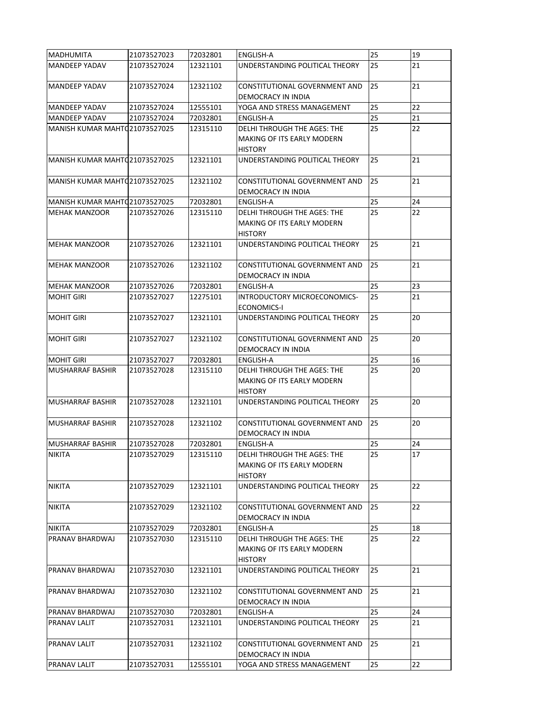| <b>MADHUMITA</b>               | 21073527023 | 72032801 | <b>ENGLISH-A</b>                                                                          | 25 | 19 |
|--------------------------------|-------------|----------|-------------------------------------------------------------------------------------------|----|----|
| <b>MANDEEP YADAV</b>           | 21073527024 | 12321101 | UNDERSTANDING POLITICAL THEORY                                                            | 25 | 21 |
| <b>MANDEEP YADAV</b>           | 21073527024 | 12321102 | CONSTITUTIONAL GOVERNMENT AND<br><b>DEMOCRACY IN INDIA</b>                                | 25 | 21 |
| <b>MANDEEP YADAV</b>           | 21073527024 | 12555101 | YOGA AND STRESS MANAGEMENT                                                                | 25 | 22 |
| <b>MANDEEP YADAV</b>           | 21073527024 | 72032801 | ENGLISH-A                                                                                 | 25 | 21 |
| MANISH KUMAR MAHTQ21073527025  |             | 12315110 | DELHI THROUGH THE AGES: THE<br>MAKING OF ITS EARLY MODERN<br><b>HISTORY</b>               | 25 | 22 |
| MANISH KUMAR MAHT (21073527025 |             | 12321101 | UNDERSTANDING POLITICAL THEORY                                                            | 25 | 21 |
| MANISH KUMAR MAHTQ 21073527025 |             | 12321102 | CONSTITUTIONAL GOVERNMENT AND<br>DEMOCRACY IN INDIA                                       | 25 | 21 |
| MANISH KUMAR MAHTQ21073527025  |             | 72032801 | <b>ENGLISH-A</b>                                                                          | 25 | 24 |
| IMEHAK MANZOOR                 | 21073527026 | 12315110 | <b>DELHI THROUGH THE AGES: THE</b><br><b>MAKING OF ITS EARLY MODERN</b><br><b>HISTORY</b> | 25 | 22 |
| <b>MEHAK MANZOOR</b>           | 21073527026 | 12321101 | UNDERSTANDING POLITICAL THEORY                                                            | 25 | 21 |
| <b>MEHAK MANZOOR</b>           | 21073527026 | 12321102 | CONSTITUTIONAL GOVERNMENT AND<br>DEMOCRACY IN INDIA                                       | 25 | 21 |
| <b>MEHAK MANZOOR</b>           | 21073527026 | 72032801 | ENGLISH-A                                                                                 | 25 | 23 |
| <b>MOHIT GIRI</b>              | 21073527027 | 12275101 | INTRODUCTORY MICROECONOMICS-<br><b>ECONOMICS-I</b>                                        | 25 | 21 |
| <b>MOHIT GIRI</b>              | 21073527027 | 12321101 | UNDERSTANDING POLITICAL THEORY                                                            | 25 | 20 |
| <b>MOHIT GIRI</b>              | 21073527027 | 12321102 | <b>CONSTITUTIONAL GOVERNMENT AND</b><br>DEMOCRACY IN INDIA                                | 25 | 20 |
| <b>MOHIT GIRI</b>              | 21073527027 | 72032801 | <b>ENGLISH-A</b>                                                                          | 25 | 16 |
| <b>MUSHARRAF BASHIR</b>        | 21073527028 | 12315110 | DELHI THROUGH THE AGES: THE<br><b>MAKING OF ITS EARLY MODERN</b><br><b>HISTORY</b>        | 25 | 20 |
| <b>MUSHARRAF BASHIR</b>        | 21073527028 | 12321101 | UNDERSTANDING POLITICAL THEORY                                                            | 25 | 20 |
| <b>MUSHARRAF BASHIR</b>        | 21073527028 | 12321102 | CONSTITUTIONAL GOVERNMENT AND<br>DEMOCRACY IN INDIA                                       | 25 | 20 |
| <b>MUSHARRAF BASHIR</b>        | 21073527028 | 72032801 | ENGLISH-A                                                                                 | 25 | 24 |
| <b>NIKITA</b>                  | 21073527029 | 12315110 | DELHI THROUGH THE AGES: THE<br><b>MAKING OF ITS EARLY MODERN</b><br><b>HISTORY</b>        | 25 | 17 |
| <b>NIKITA</b>                  | 21073527029 | 12321101 | UNDERSTANDING POLITICAL THEORY                                                            | 25 | 22 |
| <b>NIKITA</b>                  | 21073527029 | 12321102 | CONSTITUTIONAL GOVERNMENT AND<br>DEMOCRACY IN INDIA                                       | 25 | 22 |
| <b>NIKITA</b>                  | 21073527029 | 72032801 | <b>ENGLISH-A</b>                                                                          | 25 | 18 |
| <b>PRANAV BHARDWAJ</b>         | 21073527030 | 12315110 | DELHI THROUGH THE AGES: THE<br><b>MAKING OF ITS EARLY MODERN</b><br><b>HISTORY</b>        | 25 | 22 |
| PRANAV BHARDWAJ                | 21073527030 | 12321101 | UNDERSTANDING POLITICAL THEORY                                                            | 25 | 21 |
| <b>PRANAV BHARDWAJ</b>         | 21073527030 | 12321102 | CONSTITUTIONAL GOVERNMENT AND<br>DEMOCRACY IN INDIA                                       | 25 | 21 |
| PRANAV BHARDWAJ                | 21073527030 | 72032801 | ENGLISH-A                                                                                 | 25 | 24 |
| <b>PRANAV LALIT</b>            | 21073527031 | 12321101 | UNDERSTANDING POLITICAL THEORY                                                            | 25 | 21 |
| <b>PRANAV LALIT</b>            | 21073527031 | 12321102 | CONSTITUTIONAL GOVERNMENT AND<br>DEMOCRACY IN INDIA                                       | 25 | 21 |
| <b>PRANAV LALIT</b>            | 21073527031 | 12555101 | YOGA AND STRESS MANAGEMENT                                                                | 25 | 22 |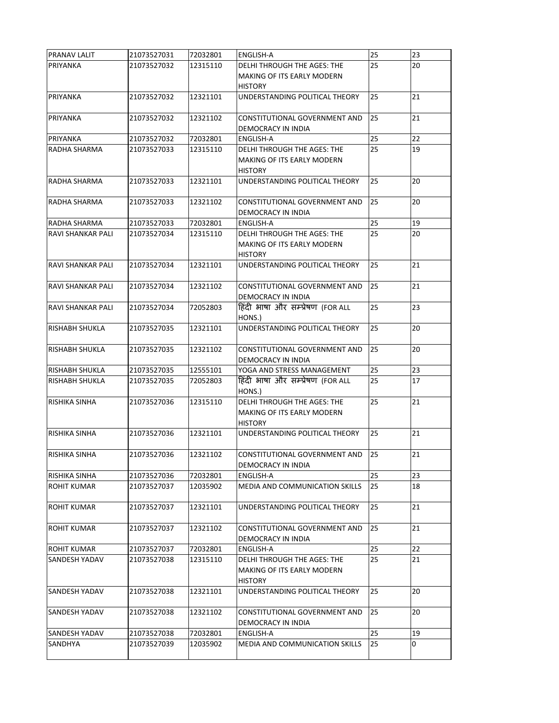| PRANAV LALIT                      | 21073527031 | 72032801 | <b>ENGLISH-A</b>                         | 25 | 23 |
|-----------------------------------|-------------|----------|------------------------------------------|----|----|
| PRIYANKA                          | 21073527032 | 12315110 | <b>DELHI THROUGH THE AGES: THE</b>       | 25 | 20 |
|                                   |             |          | MAKING OF ITS EARLY MODERN               |    |    |
|                                   |             |          | <b>HISTORY</b>                           |    |    |
| PRIYANKA                          | 21073527032 | 12321101 | UNDERSTANDING POLITICAL THEORY           | 25 | 21 |
|                                   |             |          |                                          |    |    |
| PRIYANKA                          | 21073527032 | 12321102 | CONSTITUTIONAL GOVERNMENT AND            | 25 | 21 |
|                                   |             |          | DEMOCRACY IN INDIA                       |    |    |
| PRIYANKA                          | 21073527032 | 72032801 | <b>ENGLISH-A</b>                         | 25 | 22 |
| RADHA SHARMA                      | 21073527033 | 12315110 | DELHI THROUGH THE AGES: THE              | 25 | 19 |
|                                   |             |          | MAKING OF ITS EARLY MODERN               |    |    |
|                                   |             |          | <b>HISTORY</b>                           |    |    |
| RADHA SHARMA                      | 21073527033 | 12321101 | UNDERSTANDING POLITICAL THEORY           | 25 | 20 |
|                                   |             |          |                                          | 25 | 20 |
| RADHA SHARMA                      | 21073527033 | 12321102 | CONSTITUTIONAL GOVERNMENT AND            |    |    |
|                                   | 21073527033 | 72032801 | DEMOCRACY IN INDIA                       | 25 | 19 |
| RADHA SHARMA<br>RAVI SHANKAR PALI | 21073527034 | 12315110 | ENGLISH-A<br>DELHI THROUGH THE AGES: THE | 25 | 20 |
|                                   |             |          | MAKING OF ITS EARLY MODERN               |    |    |
|                                   |             |          | <b>HISTORY</b>                           |    |    |
| RAVI SHANKAR PALI                 | 21073527034 | 12321101 | UNDERSTANDING POLITICAL THEORY           | 25 | 21 |
|                                   |             |          |                                          |    |    |
| RAVI SHANKAR PALI                 | 21073527034 | 12321102 | CONSTITUTIONAL GOVERNMENT AND            | 25 | 21 |
|                                   |             |          | <b>DEMOCRACY IN INDIA</b>                |    |    |
| <b>RAVI SHANKAR PALI</b>          | 21073527034 | 72052803 | हिंदी भाषा और सम्प्रेषण (FOR ALL         | 25 | 23 |
|                                   |             |          | HONS.)                                   |    |    |
| <b>RISHABH SHUKLA</b>             | 21073527035 | 12321101 | UNDERSTANDING POLITICAL THEORY           | 25 | 20 |
|                                   |             |          |                                          |    |    |
| RISHABH SHUKLA                    | 21073527035 | 12321102 | CONSTITUTIONAL GOVERNMENT AND            | 25 | 20 |
|                                   |             |          | <b>DEMOCRACY IN INDIA</b>                |    |    |
| <b>RISHABH SHUKLA</b>             | 21073527035 | 12555101 | YOGA AND STRESS MANAGEMENT               | 25 | 23 |
| <b>RISHABH SHUKLA</b>             | 21073527035 | 72052803 | हिंदी भाषा और सम्प्रेषण (FOR ALL         | 25 | 17 |
|                                   |             |          | HONS.)                                   |    |    |
| <b>RISHIKA SINHA</b>              | 21073527036 | 12315110 | <b>DELHI THROUGH THE AGES: THE</b>       | 25 | 21 |
|                                   |             |          | <b>MAKING OF ITS EARLY MODERN</b>        |    |    |
|                                   |             |          | <b>HISTORY</b>                           |    |    |
| <b>RISHIKA SINHA</b>              | 21073527036 | 12321101 | UNDERSTANDING POLITICAL THEORY           | 25 | 21 |
|                                   |             |          |                                          |    |    |
| <b>RISHIKA SINHA</b>              | 21073527036 | 12321102 | CONSTITUTIONAL GOVERNMENT AND            | 25 | 21 |
|                                   |             |          | DEMOCRACY IN INDIA                       |    |    |
| IRISHIKA SINHA                    | 21073527036 | 72032801 | ENGLISH-A                                | 25 | 23 |
| <b>ROHIT KUMAR</b>                | 21073527037 | 12035902 | MEDIA AND COMMUNICATION SKILLS           | 25 | 18 |
| <b>ROHIT KUMAR</b>                | 21073527037 | 12321101 | UNDERSTANDING POLITICAL THEORY           | 25 | 21 |
|                                   |             |          |                                          |    |    |
| <b>ROHIT KUMAR</b>                | 21073527037 | 12321102 | CONSTITUTIONAL GOVERNMENT AND            | 25 | 21 |
|                                   |             |          | DEMOCRACY IN INDIA                       |    |    |
| <b>ROHIT KUMAR</b>                | 21073527037 | 72032801 | <b>ENGLISH-A</b>                         | 25 | 22 |
| <b>SANDESH YADAV</b>              | 21073527038 | 12315110 | DELHI THROUGH THE AGES: THE              | 25 | 21 |
|                                   |             |          | MAKING OF ITS EARLY MODERN               |    |    |
|                                   |             |          | <b>HISTORY</b>                           |    |    |
| <b>SANDESH YADAV</b>              | 21073527038 | 12321101 | UNDERSTANDING POLITICAL THEORY           | 25 | 20 |
|                                   |             |          |                                          |    |    |
| <b>SANDESH YADAV</b>              | 21073527038 | 12321102 | CONSTITUTIONAL GOVERNMENT AND            | 25 | 20 |
|                                   |             |          | <b>DEMOCRACY IN INDIA</b>                |    |    |
| <b>SANDESH YADAV</b>              | 21073527038 | 72032801 | ENGLISH-A                                | 25 | 19 |
| <b>SANDHYA</b>                    | 21073527039 | 12035902 | MEDIA AND COMMUNICATION SKILLS           | 25 | 0  |
|                                   |             |          |                                          |    |    |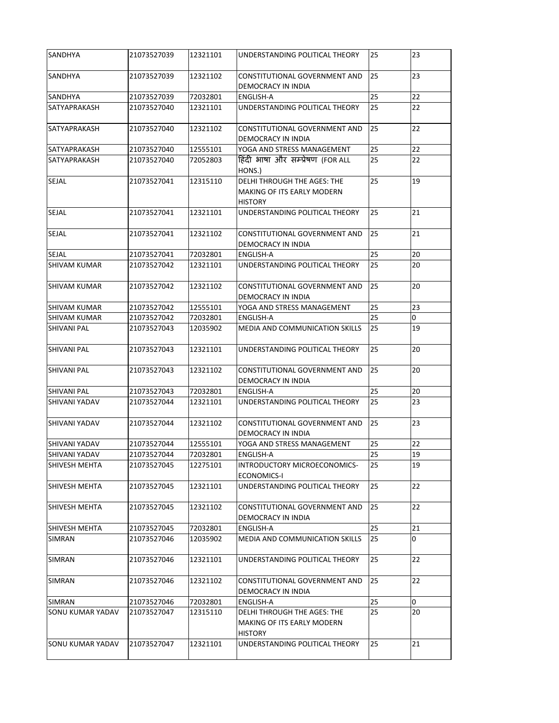| <b>SANDHYA</b>          | 21073527039 | 12321101 | UNDERSTANDING POLITICAL THEORY                                                            | 25 | 23          |
|-------------------------|-------------|----------|-------------------------------------------------------------------------------------------|----|-------------|
| <b>SANDHYA</b>          | 21073527039 | 12321102 | <b>CONSTITUTIONAL GOVERNMENT AND</b><br><b>DEMOCRACY IN INDIA</b>                         | 25 | 23          |
| <b>SANDHYA</b>          | 21073527039 | 72032801 | <b>ENGLISH-A</b>                                                                          | 25 | 22          |
| SATYAPRAKASH            | 21073527040 | 12321101 | UNDERSTANDING POLITICAL THEORY                                                            | 25 | 22          |
| <b>SATYAPRAKASH</b>     | 21073527040 | 12321102 | <b>CONSTITUTIONAL GOVERNMENT AND</b><br>DEMOCRACY IN INDIA                                | 25 | 22          |
| SATYAPRAKASH            | 21073527040 | 12555101 | YOGA AND STRESS MANAGEMENT                                                                | 25 | 22          |
| <b>SATYAPRAKASH</b>     | 21073527040 | 72052803 | हिंदी भाषा और सम्प्रेषण (FOR ALL<br>HONS.)                                                | 25 | 22          |
| <b>SEJAL</b>            | 21073527041 | 12315110 | <b>DELHI THROUGH THE AGES: THE</b><br><b>MAKING OF ITS EARLY MODERN</b><br><b>HISTORY</b> | 25 | 19          |
| <b>SEJAL</b>            | 21073527041 | 12321101 | UNDERSTANDING POLITICAL THEORY                                                            | 25 | 21          |
| <b>SEJAL</b>            | 21073527041 | 12321102 | <b>CONSTITUTIONAL GOVERNMENT AND</b><br>DEMOCRACY IN INDIA                                | 25 | 21          |
| <b>SEJAL</b>            | 21073527041 | 72032801 | <b>ENGLISH-A</b>                                                                          | 25 | 20          |
| <b>SHIVAM KUMAR</b>     | 21073527042 | 12321101 | UNDERSTANDING POLITICAL THEORY                                                            | 25 | 20          |
| <b>SHIVAM KUMAR</b>     | 21073527042 | 12321102 | CONSTITUTIONAL GOVERNMENT AND<br>DEMOCRACY IN INDIA                                       | 25 | 20          |
| <b>SHIVAM KUMAR</b>     | 21073527042 | 12555101 | YOGA AND STRESS MANAGEMENT                                                                | 25 | 23          |
| <b>SHIVAM KUMAR</b>     | 21073527042 | 72032801 | ENGLISH-A                                                                                 | 25 | 0           |
| <b>SHIVANI PAL</b>      | 21073527043 | 12035902 | <b>MEDIA AND COMMUNICATION SKILLS</b>                                                     | 25 | 19          |
| <b>SHIVANI PAL</b>      | 21073527043 | 12321101 | UNDERSTANDING POLITICAL THEORY                                                            | 25 | 20          |
| <b>SHIVANI PAL</b>      | 21073527043 | 12321102 | CONSTITUTIONAL GOVERNMENT AND<br>DEMOCRACY IN INDIA                                       | 25 | 20          |
| <b>SHIVANI PAL</b>      | 21073527043 | 72032801 | <b>ENGLISH-A</b>                                                                          | 25 | 20          |
| <b>SHIVANI YADAV</b>    | 21073527044 | 12321101 | UNDERSTANDING POLITICAL THEORY                                                            | 25 | 23          |
| <b>SHIVANI YADAV</b>    | 21073527044 | 12321102 | <b>CONSTITUTIONAL GOVERNMENT AND</b><br>DEMOCRACY IN INDIA                                | 25 | 23          |
| <b>SHIVANI YADAV</b>    | 21073527044 | 12555101 | YOGA AND STRESS MANAGEMENT                                                                | 25 | 22          |
| <b>SHIVANI YADAV</b>    | 21073527044 | 72032801 | ENGLISH-A                                                                                 | 25 | 19          |
| <b>SHIVESH MEHTA</b>    | 21073527045 | 12275101 | INTRODUCTORY MICROECONOMICS-<br><b>ECONOMICS-I</b>                                        | 25 | 19          |
| <b>SHIVESH MEHTA</b>    | 21073527045 | 12321101 | UNDERSTANDING POLITICAL THEORY                                                            | 25 | 22          |
| <b>SHIVESH MEHTA</b>    | 21073527045 | 12321102 | CONSTITUTIONAL GOVERNMENT AND<br>DEMOCRACY IN INDIA                                       | 25 | 22          |
| <b>SHIVESH MEHTA</b>    | 21073527045 | 72032801 | <b>ENGLISH-A</b>                                                                          | 25 | 21          |
| <b>SIMRAN</b>           | 21073527046 | 12035902 | MEDIA AND COMMUNICATION SKILLS                                                            | 25 | 0           |
| ISIMRAN                 | 21073527046 | 12321101 | UNDERSTANDING POLITICAL THEORY                                                            | 25 | 22          |
|                         |             |          |                                                                                           |    |             |
| <b>SIMRAN</b>           | 21073527046 | 12321102 | CONSTITUTIONAL GOVERNMENT AND<br>DEMOCRACY IN INDIA                                       | 25 | 22          |
| <b>SIMRAN</b>           | 21073527046 | 72032801 | <b>ENGLISH-A</b>                                                                          | 25 | $\mathbf 0$ |
| <b>SONU KUMAR YADAV</b> | 21073527047 | 12315110 | <b>DELHI THROUGH THE AGES: THE</b><br><b>MAKING OF ITS EARLY MODERN</b><br><b>HISTORY</b> | 25 | 20          |
| <b>SONU KUMAR YADAV</b> | 21073527047 | 12321101 | UNDERSTANDING POLITICAL THEORY                                                            | 25 | 21          |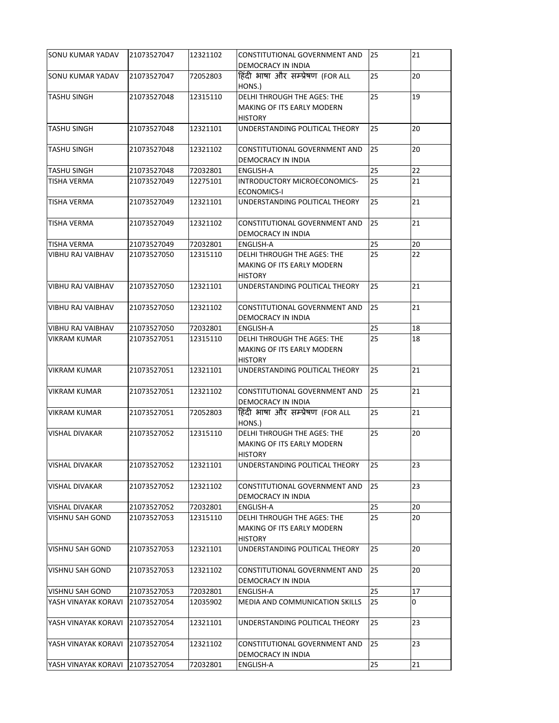| <b>SONU KUMAR YADAV</b>  | 21073527047 | 12321102 | <b>CONSTITUTIONAL GOVERNMENT AND</b><br>DEMOCRACY IN INDIA                                | 25 | 21 |
|--------------------------|-------------|----------|-------------------------------------------------------------------------------------------|----|----|
| <b>SONU KUMAR YADAV</b>  | 21073527047 | 72052803 | हिंदी भाषा और सम्प्रेषण (FOR ALL<br>HONS.)                                                | 25 | 20 |
| <b>TASHU SINGH</b>       | 21073527048 | 12315110 | <b>DELHI THROUGH THE AGES: THE</b><br><b>MAKING OF ITS EARLY MODERN</b><br><b>HISTORY</b> | 25 | 19 |
| <b>TASHU SINGH</b>       | 21073527048 | 12321101 | UNDERSTANDING POLITICAL THEORY                                                            | 25 | 20 |
| <b>TASHU SINGH</b>       | 21073527048 | 12321102 | CONSTITUTIONAL GOVERNMENT AND<br>DEMOCRACY IN INDIA                                       | 25 | 20 |
| <b>TASHU SINGH</b>       | 21073527048 | 72032801 | ENGLISH-A                                                                                 | 25 | 22 |
| <b>TISHA VERMA</b>       | 21073527049 | 12275101 | INTRODUCTORY MICROECONOMICS-<br><b>ECONOMICS-I</b>                                        | 25 | 21 |
| <b>TISHA VERMA</b>       | 21073527049 | 12321101 | UNDERSTANDING POLITICAL THEORY                                                            | 25 | 21 |
| <b>TISHA VERMA</b>       | 21073527049 | 12321102 | <b>CONSTITUTIONAL GOVERNMENT AND</b><br><b>DEMOCRACY IN INDIA</b>                         | 25 | 21 |
| <b>TISHA VERMA</b>       | 21073527049 | 72032801 | <b>ENGLISH-A</b>                                                                          | 25 | 20 |
| <b>VIBHU RAJ VAIBHAV</b> | 21073527050 | 12315110 | DELHI THROUGH THE AGES: THE<br>MAKING OF ITS EARLY MODERN<br><b>HISTORY</b>               | 25 | 22 |
| <b>VIBHU RAJ VAIBHAV</b> | 21073527050 | 12321101 | UNDERSTANDING POLITICAL THEORY                                                            | 25 | 21 |
| <b>VIBHU RAJ VAIBHAV</b> | 21073527050 | 12321102 | CONSTITUTIONAL GOVERNMENT AND<br>DEMOCRACY IN INDIA                                       | 25 | 21 |
| <b>VIBHU RAJ VAIBHAV</b> | 21073527050 | 72032801 | ENGLISH-A                                                                                 | 25 | 18 |
| <b>VIKRAM KUMAR</b>      | 21073527051 | 12315110 | <b>DELHI THROUGH THE AGES: THE</b><br>MAKING OF ITS EARLY MODERN<br><b>HISTORY</b>        | 25 | 18 |
| <b>VIKRAM KUMAR</b>      | 21073527051 | 12321101 | UNDERSTANDING POLITICAL THEORY                                                            | 25 | 21 |
| <b>VIKRAM KUMAR</b>      | 21073527051 | 12321102 | CONSTITUTIONAL GOVERNMENT AND<br>DEMOCRACY IN INDIA                                       | 25 | 21 |
| IVIKRAM KUMAR            | 21073527051 | 72052803 | हिंदी भाषा और सम्प्रेषण (FOR ALL<br>HONS.)                                                | 25 | 21 |
| VISHAL DIVAKAR           | 21073527052 | 12315110 | <b>DELHI THROUGH THE AGES: THE</b><br><b>MAKING OF ITS EARLY MODERN</b><br><b>HISTORY</b> | 25 | 20 |
| <b>VISHAL DIVAKAR</b>    | 21073527052 | 12321101 | UNDERSTANDING POLITICAL THEORY                                                            | 25 | 23 |
| VISHAL DIVAKAR           | 21073527052 | 12321102 | CONSTITUTIONAL GOVERNMENT AND<br>DEMOCRACY IN INDIA                                       | 25 | 23 |
| <b>VISHAL DIVAKAR</b>    | 21073527052 | 72032801 | <b>ENGLISH-A</b>                                                                          | 25 | 20 |
| <b>VISHNU SAH GOND</b>   | 21073527053 | 12315110 | DELHI THROUGH THE AGES: THE<br><b>MAKING OF ITS EARLY MODERN</b><br><b>HISTORY</b>        | 25 | 20 |
| <b>VISHNU SAH GOND</b>   | 21073527053 | 12321101 | UNDERSTANDING POLITICAL THEORY                                                            | 25 | 20 |
| <b>VISHNU SAH GOND</b>   | 21073527053 | 12321102 | CONSTITUTIONAL GOVERNMENT AND<br>DEMOCRACY IN INDIA                                       | 25 | 20 |
| <b>VISHNU SAH GOND</b>   | 21073527053 | 72032801 | ENGLISH-A                                                                                 | 25 | 17 |
| YASH VINAYAK KORAVI      | 21073527054 | 12035902 | <b>MEDIA AND COMMUNICATION SKILLS</b>                                                     | 25 | 0  |
| YASH VINAYAK KORAVI      | 21073527054 | 12321101 | UNDERSTANDING POLITICAL THEORY                                                            | 25 | 23 |
| YASH VINAYAK KORAVI      | 21073527054 | 12321102 | CONSTITUTIONAL GOVERNMENT AND<br>DEMOCRACY IN INDIA                                       | 25 | 23 |
| YASH VINAYAK KORAVI      | 21073527054 | 72032801 | <b>ENGLISH-A</b>                                                                          | 25 | 21 |